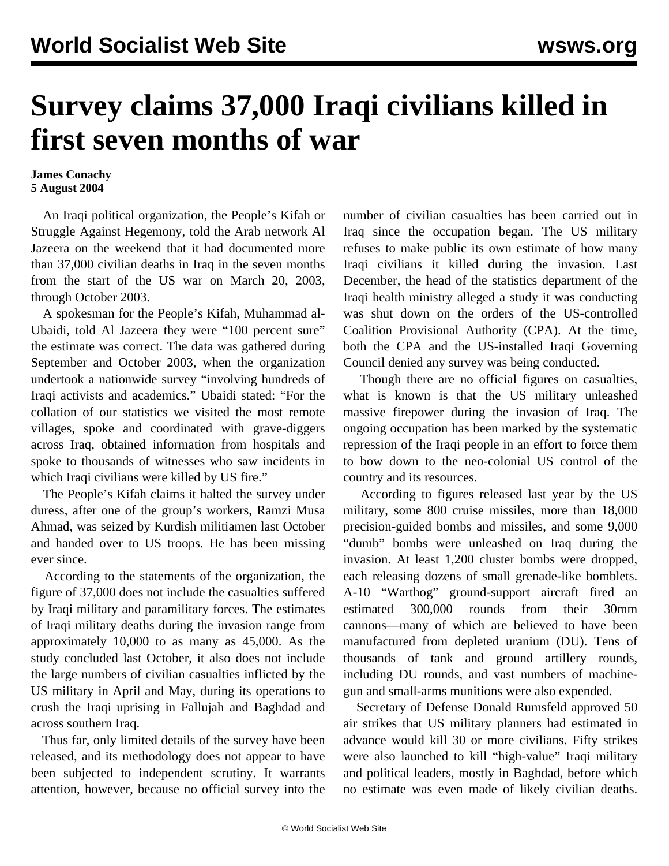## **Survey claims 37,000 Iraqi civilians killed in first seven months of war**

## **James Conachy 5 August 2004**

 An Iraqi political organization, the People's Kifah or Struggle Against Hegemony, told the Arab network Al Jazeera on the weekend that it had documented more than 37,000 civilian deaths in Iraq in the seven months from the start of the US war on March 20, 2003, through October 2003.

 A spokesman for the People's Kifah, Muhammad al-Ubaidi, told Al Jazeera they were "100 percent sure" the estimate was correct. The data was gathered during September and October 2003, when the organization undertook a nationwide survey "involving hundreds of Iraqi activists and academics." Ubaidi stated: "For the collation of our statistics we visited the most remote villages, spoke and coordinated with grave-diggers across Iraq, obtained information from hospitals and spoke to thousands of witnesses who saw incidents in which Iraqi civilians were killed by US fire."

 The People's Kifah claims it halted the survey under duress, after one of the group's workers, Ramzi Musa Ahmad, was seized by Kurdish militiamen last October and handed over to US troops. He has been missing ever since.

 According to the statements of the organization, the figure of 37,000 does not include the casualties suffered by Iraqi military and paramilitary forces. The estimates of Iraqi military deaths during the invasion range from approximately 10,000 to as many as 45,000. As the study concluded last October, it also does not include the large numbers of civilian casualties inflicted by the US military in April and May, during its operations to crush the Iraqi uprising in Fallujah and Baghdad and across southern Iraq.

 Thus far, only limited details of the survey have been released, and its methodology does not appear to have been subjected to independent scrutiny. It warrants attention, however, because no official survey into the number of civilian casualties has been carried out in Iraq since the occupation began. The US military refuses to make public its own estimate of how many Iraqi civilians it killed during the invasion. Last December, the head of the statistics department of the Iraqi health ministry alleged a study it was conducting was shut down on the orders of the US-controlled Coalition Provisional Authority (CPA). At the time, both the CPA and the US-installed Iraqi Governing Council denied any survey was being conducted.

 Though there are no official figures on casualties, what is known is that the US military unleashed massive firepower during the invasion of Iraq. The ongoing occupation has been marked by the systematic repression of the Iraqi people in an effort to force them to bow down to the neo-colonial US control of the country and its resources.

 According to figures released last year by the US military, some 800 cruise missiles, more than 18,000 precision-guided bombs and missiles, and some 9,000 "dumb" bombs were unleashed on Iraq during the invasion. At least 1,200 cluster bombs were dropped, each releasing dozens of small grenade-like bomblets. A-10 "Warthog" ground-support aircraft fired an estimated 300,000 rounds from their 30mm cannons—many of which are believed to have been manufactured from depleted uranium (DU). Tens of thousands of tank and ground artillery rounds, including DU rounds, and vast numbers of machinegun and small-arms munitions were also expended.

 Secretary of Defense Donald Rumsfeld approved 50 air strikes that US military planners had estimated in advance would kill 30 or more civilians. Fifty strikes were also launched to kill "high-value" Iraqi military and political leaders, mostly in Baghdad, before which no estimate was even made of likely civilian deaths.